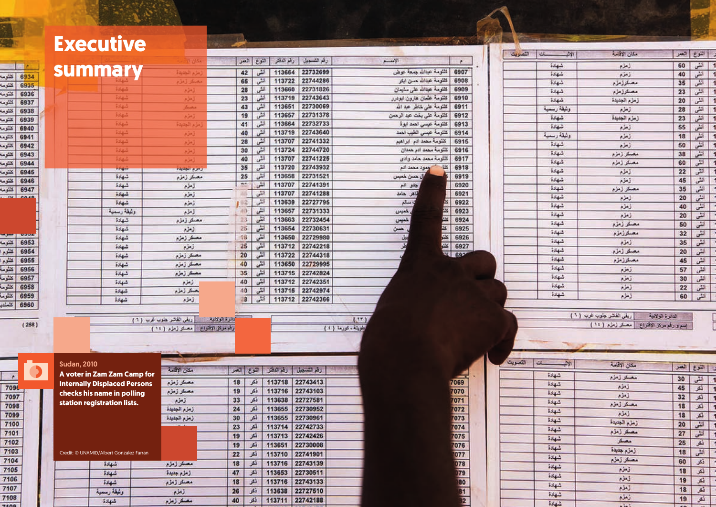# **Executive**

|                    |                                     |                                   |                   | إسوع إنسر | رهم سمر    | زمم استعمامون | $-1$                          |
|--------------------|-------------------------------------|-----------------------------------|-------------------|-----------|------------|---------------|-------------------------------|
|                    | summary                             | زمزم الجديدة                      | 42                | أتش       | 113664     | 22732699      | كلثرمة عداللا جبعة عوض        |
|                    |                                     | مصنئر زمزم                        | 65                | الش       | 113722     | 22744286      | كلثومة عدالله همن ابكر        |
|                    | شهادة                               | ألحكم                             | 28                | أنشى      | 113660     | 22731826      | كلثومة عيدالله على سليمان     |
|                    | شهدة                                | زمزم                              | 23                | انش       | 113719     | 22743643      | كنتوسة عثمان هارون ابودرر     |
|                    | $134 - 3$                           | مصكر                              | 43                | انش       | 113651     | 22730069      | كلنتومة علمى لهاطر عبدالله    |
|                    | شهادة                               | ذينه                              | 19                | الش       | 113657     | 22731378      | كلثومة على بغت عبد الرهمن     |
|                    | $584 -$                             | إمار والجديدة                     | 41                | انش       | 113664     | 22732733      | كللومة عيسى اهمد ابوة         |
|                    | $134 -$                             | زمزم                              | 40                | لش        | 113719     | 22743640      | كلكومة عيسى الطيب المعد       |
|                    | $534 - 3$                           | زمزم                              | 28                | أنشى      | 113707     | 22741332      | كَنْتُومَةً مضد الام ابراهيم  |
|                    | $114 -$                             | زمزم                              | 30                | اش        | 113724     | 22744720      | كلثومة مصد ادر حدان           |
|                    | شهادة                               | زمزم                              | 40                | انش       | 113707     | 22741225      | كلثومة مععد هامد وادى         |
|                    | $\frac{1}{2}$                       | فيحرم الجفرفة                     | 35                | لشى       | 113720     | 22743932      | أومود محمد أدم<br>$rac{1}{2}$ |
|                    | $584 - 5$                           | مصكر زمزم                         | 25                | انش       | 113658     | 22731521      | إل همان للعيس                 |
|                    | شهدة                                | زمزم                              | 75                | انش       | 113707     | 22741391      | حدو الم                       |
|                    | $-1 - 1$                            | زمزم                              |                   | الش       | 113707     | 22741288      | نجاهر جامد                    |
|                    | شهادة                               | زمزم                              | 62                | الشى      | 113639     | 22727795      | وسالم                         |
|                    | ولهلة رسمية                         | زمزم                              | $-0.0$            | انش       | 113657     | 22731333      | خبرس                          |
|                    | شهادة                               | مصكر زمزم                         | 23                | لتلن      | 113663     | 22732454      | <b>ALGES ESTER</b><br>لميس    |
|                    | شهادة                               | زمزم                              | 26                | انش       | 113654     | 22730631      | حسن                           |
|                    | شهادة                               | مصفر زمزم                         | $18^{12}$         | انش       | 113650     | 22729980      | 山星                            |
|                    | $-14 - 1$                           | زمزم                              | 26                | أثلى      | 113712     | 22742218      |                               |
|                    | $144 -$                             | مصكر زمزم                         | 20                | أتطى      | 113722     | 22744318      |                               |
|                    | شهادة                               | مصقر زمزم                         | 40                | اتشى      | 113650     | 22729995      |                               |
|                    | شهادة                               | مصفر زمزم                         | 35                | انشى      | 113715     | 22742824      |                               |
|                    | $554 -$                             | زمزم                              | 40                | الش       | 113712     | 22742351      |                               |
|                    | $54 -$                              | بصقر زمزم                         | 40                | الشى      | 113715     | 22742974      |                               |
|                    | شهادة                               | إذاقرم                            | 18                | أثلى      | 113712     | 22742366      |                               |
|                    |                                     |                                   |                   |           |            |               |                               |
|                    |                                     | [ ريقي القاشر جنوب غرب ( ٢ )      | <b>SHOCK EURO</b> |           |            |               | (17)                          |
|                    |                                     | وقد مركز الإقتراع مصلة زمزد ( ١١) |                   |           |            |               | بوت تورما (١)                 |
|                    |                                     |                                   |                   |           |            |               |                               |
|                    |                                     |                                   |                   |           |            |               |                               |
|                    |                                     |                                   |                   |           |            |               |                               |
| <b>Sudan, 2010</b> |                                     |                                   |                   |           |            |               |                               |
|                    | A voter in Zam Zam Camp for         | مكان الأقامة                      | العمز             | ex        | رقم الدفكر | رقم لتسميل    |                               |
|                    | <b>Internally Displaced Persons</b> | مصفر زمزم                         | 18                | فكر       | 113718     | 22743413      |                               |
|                    | checks his name in polling          | مصقر زمزم                         | 19                | فكر       | 113716     | 22743103      |                               |
|                    |                                     | زمزم                              | 33                | فكر       | 113638     | 22727581      |                               |
|                    | station registration lists.         | زمزم الجديدة                      | 24                | أنكر      | 113655     | 22730952      |                               |
|                    |                                     | زمزم الجديدة                      | 30                | أنكر      | 113655     | 22730961      |                               |
|                    |                                     |                                   | 23                | فكر       | 113714     | 22742733      |                               |
|                    |                                     |                                   | 19                | <b>SS</b> | 113713     | 22742426      |                               |
|                    |                                     |                                   |                   |           |            |               |                               |

مصفر زمزم

زمزم جديدة

مصكر زمزم

تخم

مصكر زمزم

نتعر

 $\overline{\mathbf{A}}$ 

乌

山

قكر

قكر

減

رقم الشمجيل | رقم النقش | النثوع | العمر

113711 22742188

الإصبع

Credit: © UNAMID/Albert Gonzalez Farran

شهادة

| z.<br>$\approx$ | مكان الاقاصة   |    | النوع التعمر |   |  |
|-----------------|----------------|----|--------------|---|--|
| $544 -$         | زمزم           | 60 | تش           | ٦ |  |
| $554 -$         | زمزم           | 40 | يش           | 1 |  |
| $584\%$         | مصكرزمزم       | 35 | أثلى         | 1 |  |
| $144 -$         | مصئرزمزم       | 23 | أتشى         | ł |  |
| شهادة           | لرمزم المعديدة | 20 | الش          | Ï |  |
| ولنيقة رسمية    | إزمزم          | 28 | أنشى         | Ï |  |
| شهادة           | زمزم الجنبدة   | 23 | أتشى         | 1 |  |
| $55 + 1$        | الملام         | 55 | انش          | 1 |  |
| ولنيقة رسمية    | زمزم           | 18 | أنشى         | ł |  |
| $324 -$         | زمزم           | 50 | أنشى         | ï |  |
| شهادة           | مصفر زمزم      | 38 | أنشى         | š |  |
| شهادة           | مصئر زمزم      | 60 | أثلنى        | ł |  |
| $154 -$         | المعارم        | 22 | لتی          | Ì |  |
| $i\frac{1}{2}$  | زمزم           | 45 | الشى         | ł |  |
| شهادة           | مصفر زمزم      | 35 | اللى         | P |  |
| $5.54 - 2$      | البعثرم        | 20 | انش          | ţ |  |
| $3.4 - 3$       | للأم           | 40 | انش          |   |  |
| شهدة            | الملوم         | 20 | تش           | r |  |
| شهادة           | مصكر زمزم      | 50 | انش          | t |  |
| 5444            | مصكرزمزم       | 32 | أتشى         |   |  |
| $554 -$         | الملاء         | 35 | اش           |   |  |
| $584 - 3$       | مصقر زمزم      | 20 | انش          |   |  |
| $5 - 1$         | مصكرزمزم       | 45 | انش          |   |  |
| شهادة           | زمزم           | 57 | انشى         |   |  |
| شهادة           | تخرم           | 30 | انش          |   |  |
| $5.54 - 3$      | زمزم           | 22 | انش          |   |  |
| 3243            | زمزم           | 60 | 湿            |   |  |

شهادة

الثمريت

التصويت

ولهقة رسمية

**IC** 

 $5.44$ 

×

| تشومه               | 6934        |
|---------------------|-------------|
| كتريمه              | 6935        |
| تشومه               | 6936        |
| كتتومه              | 6937        |
|                     | 6938        |
| لتلتومه             |             |
| تنشومه              | 6939        |
| كللتومه             | 6940        |
| كلثومه              | 6941        |
| تثنومه              | 6942        |
| كلتومه              | 6943        |
| كملتومة             | 6944        |
| تنتومه              | 6945        |
| تشومه               | 6946        |
| كتنومه              | 6947        |
| a di<br><b>HILA</b> | <b>PAJB</b> |

| تشومه       | 6953 |  |
|-------------|------|--|
| تسوم        | 6954 |  |
| تشوم        | 6955 |  |
| كشومنا      | 6956 |  |
| کشو ما      | 6957 |  |
| كشوها       | 6958 |  |
| كشوما       | 6959 |  |
| <b>STAR</b> | 6960 |  |
|             |      |  |

 $(258)$ 

 $\overline{\epsilon}$ 

 $x = 6922$ <br>  $x = 6923$ <br>  $x = 6926$ <br>  $x = 6926$ <br>  $x = 6926$ <br>  $x = 6927$ 

| ريقي القاشر جلوب غرب ( ١) | المانوة الولادية                        |
|---------------------------|-----------------------------------------|
|                           | إسبرورقم مرتز الاقتراع مصقر زمزم ( ١٢ ) |

| $\frac{1}{2}$ | مكان الأقامة |                  |              |   |
|---------------|--------------|------------------|--------------|---|
|               |              |                  | التنوع العمر |   |
| شهادة         | مصقر زمزم    | 30               | الش          |   |
| تبهادة        | نعن          | 45               | ټکر          | ٢ |
| شهادة         | زمزم         | 32               | فكر          | í |
| $24 - 3$      | مصكر زمزم    | 18               | نكر          | ķ |
| شهادة         | للام         | 18               | نکر          | y |
| شهادة         | زمزم الجنبدة | 20               | أتش          | ŀ |
| شهادة         | مصكر زمزم    | 27               | اللی         |   |
| شهادة         | مصكر         | 25               | لمكر         | ÿ |
| $554 -$       | زمزم جديدة   |                  |              | U |
| شهادة         | مصكر زمزم    | 18               | انشى         |   |
| $5 - 1$       |              | 60               | نکر          | J |
|               | زمزم         | 18               | فكر          |   |
| 584.5         | زمزم         | 19               | نکر          |   |
| شهادة         | لخدم         | 18               | ثکر          |   |
| شهادة         | نعنہ         | 19               | نقر          |   |
| $5 + 1$       | 上方に生         | <b>Call Card</b> |              |   |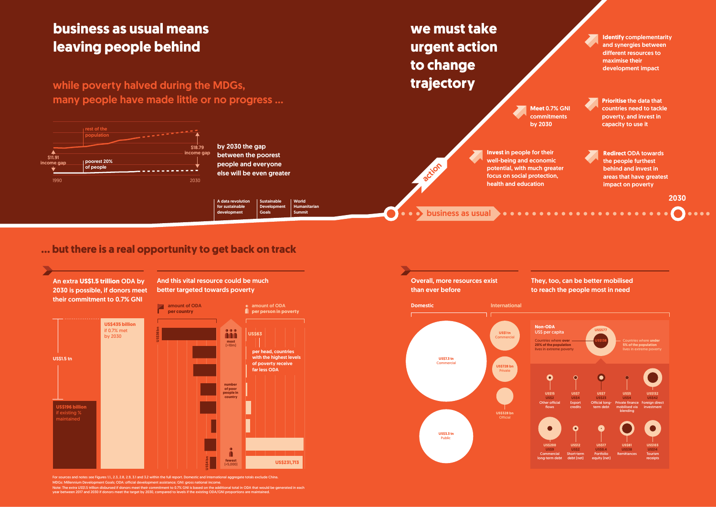while poverty halved during the MDGs, many people have made little or no progress …

### **business as usual means leaving people behind**

#### **… but there is a real opportunity to get back on track**

**we must take urgent action to change trajectory**

by 2030 the gap between the poorest people and everyone else will be even greater

An extra **US\$1.5 trillion** ODA by 2030 is possible, if donors meet their commitment to 0.7% GNI

And this vital resource could be much better targeted towards poverty

**Meet** 0.7% GNI commitments by 2030

. . . . . . . . . . . . . .

**Redirect** ODA towards the people furthest behind and invest in areas that have greatest impact on poverty

. . . . . . . .

**Identify** complementarity and synergies between different resources to maximise their development impact

**Invest** in people for their well-being and economic potential, with much greater focus on social protection, health and education

**Prioritise** the data that countries need to tackle poverty, and invest in capacity to use it



2030

Sustainable Development **Goals** A data revolution for sustainable development

Executive summary 8 Executive summary 9 MDGs: Millennium Development Goals; ODA: official development assistance; GNI: gross national income.

Note: The extra US\$1.5 trillion disbursed if donors meet their commitment to 0.7% GNI is based on the additional total in ODA that would be generated in each<br>year between 2017 and 2030 if donors meet the target by 2030, co

World **Humanitarian** Summit



For sources and notes see Figures 1.1, 2.3, 2.8, 2.9, 3.1 and 3.2 within the full report. Domestic and International aggregate to the China.





business as usual

action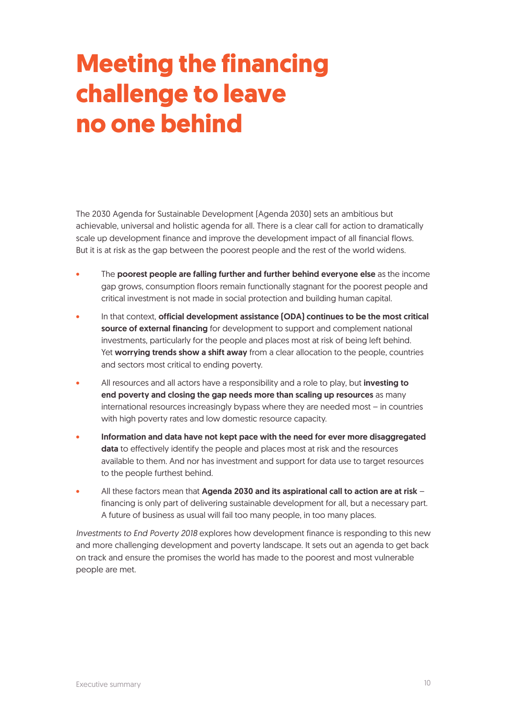## **Meeting the financing challenge to leave no one behind**

The 2030 Agenda for Sustainable Development (Agenda 2030) sets an ambitious but achievable, universal and holistic agenda for all. There is a clear call for action to dramatically scale up development finance and improve the development impact of all financial flows. But it is at risk as the gap between the poorest people and the rest of the world widens.

- The poorest people are falling further and further behind everyone else as the income gap grows, consumption floors remain functionally stagnant for the poorest people and critical investment is not made in social protection and building human capital.
- In that context, official development assistance (ODA) continues to be the most critical source of external financing for development to support and complement national investments, particularly for the people and places most at risk of being left behind. Yet worrying trends show a shift away from a clear allocation to the people, countries and sectors most critical to ending poverty.
- All resources and all actors have a responsibility and a role to play, but **investing to** end poverty and closing the gap needs more than scaling up resources as many international resources increasingly bypass where they are needed most – in countries with high poverty rates and low domestic resource capacity.
- Information and data have not kept pace with the need for ever more disaggregated data to effectively identify the people and places most at risk and the resources available to them. And nor has investment and support for data use to target resources to the people furthest behind.
- All these factors mean that Agenda 2030 and its aspirational call to action are at risk financing is only part of delivering sustainable development for all, but a necessary part. A future of business as usual will fail too many people, in too many places.

*Investments to End Poverty 2018* explores how development finance is responding to this new and more challenging development and poverty landscape. It sets out an agenda to get back on track and ensure the promises the world has made to the poorest and most vulnerable people are met.